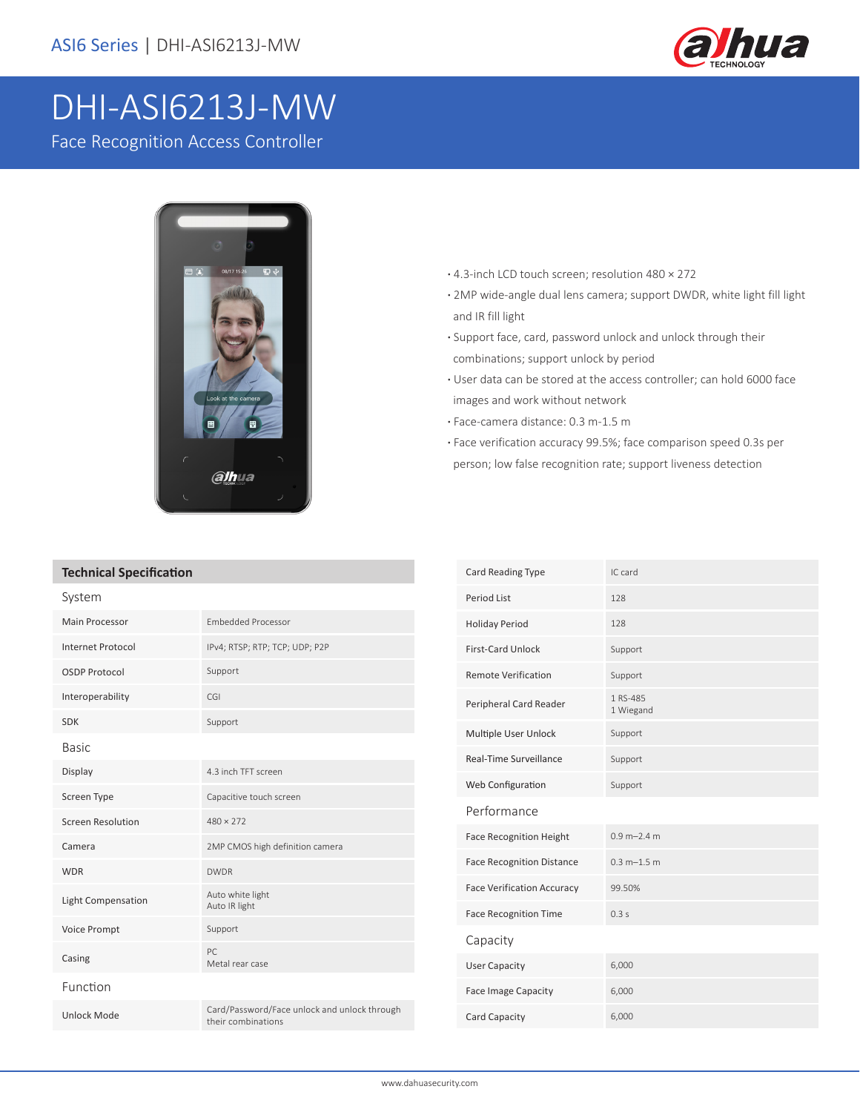

# DHI-ASI6213J-MW

Face Recognition Access Controller



#### **Technical Specification**

| System                    |                                                                    |
|---------------------------|--------------------------------------------------------------------|
| Main Processor            | <b>Embedded Processor</b>                                          |
| <b>Internet Protocol</b>  | IPv4; RTSP; RTP; TCP; UDP; P2P                                     |
| OSDP Protocol             | Support                                                            |
| Interoperability          | CGI                                                                |
| <b>SDK</b>                | Support                                                            |
| <b>Basic</b>              |                                                                    |
| Display                   | 4.3 inch TFT screen                                                |
| Screen Type               | Capacitive touch screen                                            |
| <b>Screen Resolution</b>  | $480 \times 272$                                                   |
| Camera                    | 2MP CMOS high definition camera                                    |
| <b>WDR</b>                | <b>DWDR</b>                                                        |
| <b>Light Compensation</b> | Auto white light<br>Auto IR light                                  |
| Voice Prompt              | Support                                                            |
| Casing                    | PC<br>Metal rear case                                              |
| Function                  |                                                                    |
| Unlock Mode               | Card/Password/Face unlock and unlock through<br>their combinations |

- **·** 2MP wide-angle dual lens camera; support DWDR, white light fill light and IR fill light
- **·** Support face, card, password unlock and unlock through their combinations; support unlock by period
- **·** User data can be stored at the access controller; can hold 6000 face images and work without network
- **·** Face-camera distance: 0.3 m-1.5 m
- **·** Face verification accuracy 99.5%; face comparison speed 0.3s per person; low false recognition rate; support liveness detection

| Card Reading Type                 | IC card               |
|-----------------------------------|-----------------------|
| Period List                       | 128                   |
| <b>Holiday Period</b>             | 128                   |
| <b>First-Card Unlock</b>          | Support               |
| <b>Remote Verification</b>        | Support               |
| Peripheral Card Reader            | 1 RS-485<br>1 Wiegand |
| Multiple User Unlock              | Support               |
| Real-Time Surveillance            | Support               |
| Web Configuration                 | Support               |
|                                   |                       |
| Performance                       |                       |
| <b>Face Recognition Height</b>    | $0.9 m - 2.4 m$       |
| <b>Face Recognition Distance</b>  | $0.3 m - 1.5 m$       |
| <b>Face Verification Accuracy</b> | 99.50%                |
| <b>Face Recognition Time</b>      | 0.3 s                 |
| Capacity                          |                       |
| <b>User Capacity</b>              | 6,000                 |
| Face Image Capacity               | 6,000                 |
| Card Capacity                     | 6,000                 |